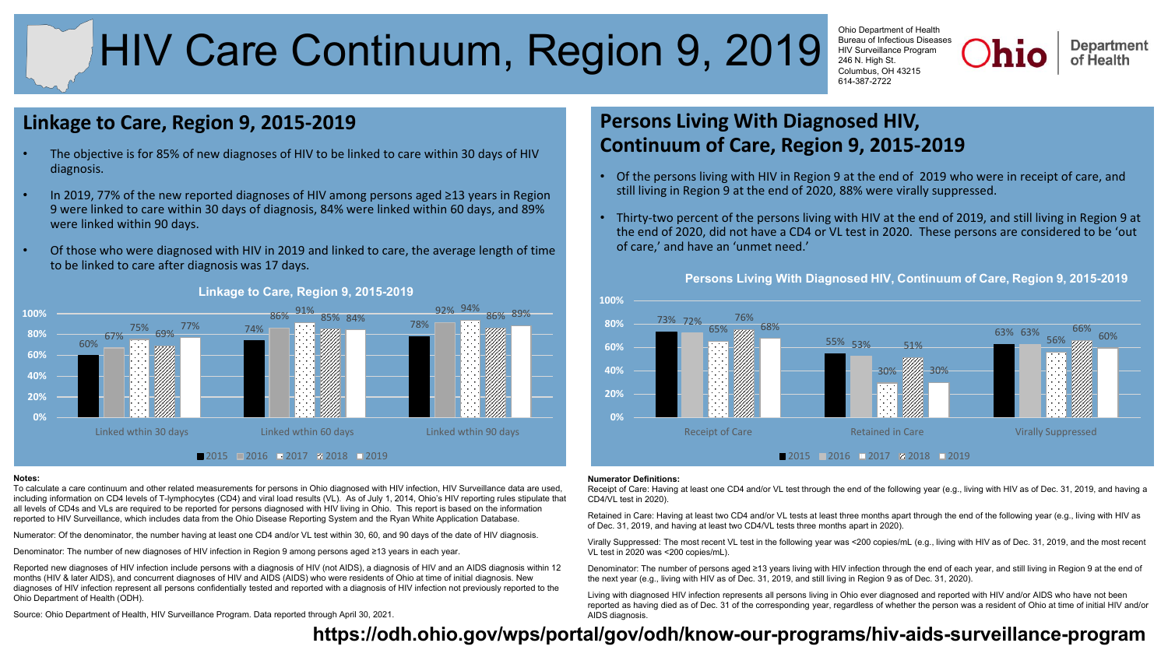# HIV Care Continuum, Region 9, 2019

Ohio Department of Health Bureau of Infectious Diseases HIV Surveillance Program 246 N. High St. Columbus, OH 43215 614-387-2722

**Department** of Health

### **Linkage to Care, Region 9, 2015-2019**

- The objective is for 85% of new diagnoses of HIV to be linked to care within 30 days of HIV diagnosis.
- In 2019, 77% of the new reported diagnoses of HIV among persons aged ≥13 years in Region 9 were linked to care within 30 days of diagnosis, 84% were linked within 60 days, and 89% were linked within 90 days.
- Of those who were diagnosed with HIV in 2019 and linked to care, the average length of time to be linked to care after diagnosis was 17 days.



### **Linkage to Care, Region 9, 2015-2019**

#### **Notes:**

To calculate a care continuum and other related measurements for persons in Ohio diagnosed with HIV infection, HIV Surveillance data are used, including information on CD4 levels of T-lymphocytes (CD4) and viral load results (VL). As of July 1, 2014, Ohio's HIV reporting rules stipulate that all levels of CD4s and VLs are required to be reported for persons diagnosed with HIV living in Ohio. This report is based on the information reported to HIV Surveillance, which includes data from the Ohio Disease Reporting System and the Ryan White Application Database.

Numerator: Of the denominator, the number having at least one CD4 and/or VL test within 30, 60, and 90 days of the date of HIV diagnosis.

Denominator: The number of new diagnoses of HIV infection in Region 9 among persons aged ≥13 years in each year.

Reported new diagnoses of HIV infection include persons with a diagnosis of HIV (not AIDS), a diagnosis of HIV and an AIDS diagnosis within 12 months (HIV & later AIDS), and concurrent diagnoses of HIV and AIDS (AIDS) who were residents of Ohio at time of initial diagnosis. New diagnoses of HIV infection represent all persons confidentially tested and reported with a diagnosis of HIV infection not previously reported to the Ohio Department of Health (ODH).

Source: Ohio Department of Health, HIV Surveillance Program. Data reported through April 30, 2021.

## **Persons Living With Diagnosed HIV, Continuum of Care, Region 9, 2015-2019**

- Of the persons living with HIV in Region 9 at the end of 2019 who were in receipt of care, and still living in Region 9 at the end of 2020, 88% were virally suppressed.
- Thirty-two percent of the persons living with HIV at the end of 2019, and still living in Region 9 at the end of 2020, did not have a CD4 or VL test in 2020. These persons are considered to be 'out of care,' and have an 'unmet need.'

**Persons Living With Diagnosed HIV, Continuum of Care, Region 9, 2015-2019**



#### **Numerator Definitions:**

Receipt of Care: Having at least one CD4 and/or VL test through the end of the following year (e.g., living with HIV as of Dec. 31, 2019, and having a CD4/VL test in 2020).

Retained in Care: Having at least two CD4 and/or VL tests at least three months apart through the end of the following year (e.g., living with HIV as of Dec. 31, 2019, and having at least two CD4/VL tests three months apart in 2020).

Virally Suppressed: The most recent VL test in the following year was <200 copies/mL (e.g., living with HIV as of Dec. 31, 2019, and the most recent VL test in 2020 was <200 copies/mL).

Denominator: The number of persons aged ≥13 years living with HIV infection through the end of each year, and still living in Region 9 at the end of the next year (e.g., living with HIV as of Dec. 31, 2019, and still living in Region 9 as of Dec. 31, 2020).

Living with diagnosed HIV infection represents all persons living in Ohio ever diagnosed and reported with HIV and/or AIDS who have not been reported as having died as of Dec. 31 of the corresponding year, regardless of whether the person was a resident of Ohio at time of initial HIV and/or AIDS diagnosis.

### **https://odh.oh[io.gov/wps/portal/gov/odh/know-our-programs/hiv-aids-surveillance-program](https://odh.ohio.gov/wps/portal/gov/odh/know-our-programs/hiv-aids-surveillance-program)**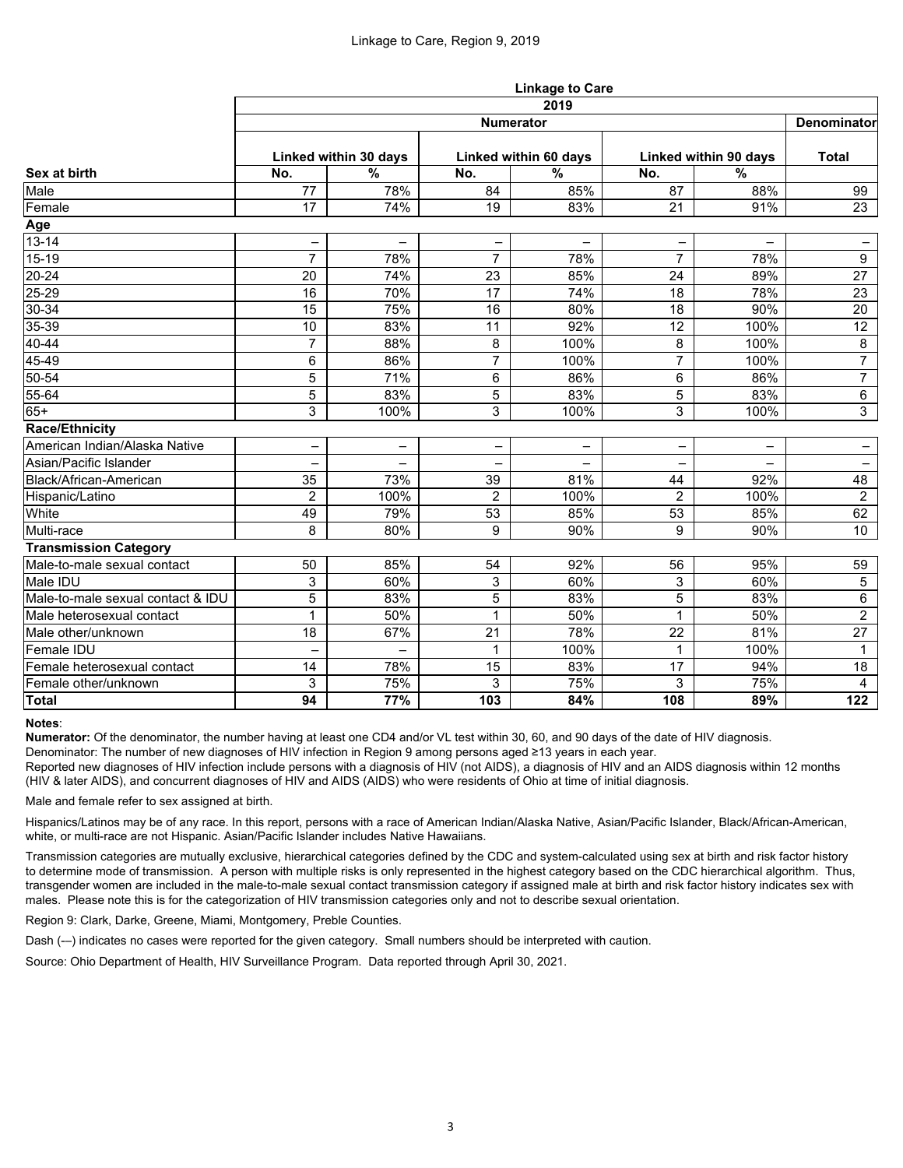|                                   | <b>Linkage to Care</b>   |                          |                |                       |                |                          |                 |  |  |  |
|-----------------------------------|--------------------------|--------------------------|----------------|-----------------------|----------------|--------------------------|-----------------|--|--|--|
|                                   | 2019                     |                          |                |                       |                |                          |                 |  |  |  |
| Sex at birth                      | <b>Numerator</b>         |                          |                |                       |                |                          |                 |  |  |  |
|                                   | Linked within 30 days    |                          |                | Linked within 60 days |                | Linked within 90 days    |                 |  |  |  |
|                                   | No.                      | $\%$                     | No.            | $\%$                  | No.            | $\%$                     |                 |  |  |  |
| Male                              | 77                       | 78%                      | 84             | 85%                   | 87             | 88%                      | 99              |  |  |  |
| Female                            | 17                       | 74%                      | 19             | 83%                   | 21             | 91%                      | 23              |  |  |  |
| Age                               |                          |                          |                |                       |                |                          |                 |  |  |  |
| $13 - 14$                         | -                        | $\overline{\phantom{0}}$ |                | -                     |                | $\overline{\phantom{0}}$ |                 |  |  |  |
| $15 - 19$                         | $\overline{7}$           | 78%                      | $\overline{7}$ | 78%                   | $\overline{7}$ | 78%                      | 9               |  |  |  |
| $20 - 24$                         | 20                       | 74%                      | 23             | 85%                   | 24             | 89%                      | 27              |  |  |  |
| $25 - 29$                         | 16                       | 70%                      | 17             | 74%                   | 18             | 78%                      | 23              |  |  |  |
| $30 - 34$                         | 15                       | 75%                      | 16             | 80%                   | 18             | 90%                      | 20              |  |  |  |
| $35 - 39$                         | 10                       | 83%                      | 11             | 92%                   | 12             | 100%                     | 12              |  |  |  |
| $40 - 44$                         | $\overline{7}$           | 88%                      | 8              | 100%                  | 8              | 100%                     | 8               |  |  |  |
| $45 - 49$                         | 6                        | 86%                      | $\overline{7}$ | 100%                  | $\overline{7}$ | 100%                     | $\overline{7}$  |  |  |  |
| 50-54                             | 5                        | 71%                      | 6              | 86%                   | 6              | 86%                      | $\overline{7}$  |  |  |  |
| $55 - 64$                         | 5                        | 83%                      | 5              | 83%                   | 5              | 83%                      | 6               |  |  |  |
| $65+$                             | 3                        | 100%                     | 3              | 100%                  | $\overline{3}$ | 100%                     | $\mathfrak{S}$  |  |  |  |
| <b>Race/Ethnicity</b>             |                          |                          |                |                       |                |                          |                 |  |  |  |
| American Indian/Alaska Native     |                          |                          |                |                       |                |                          | -               |  |  |  |
| Asian/Pacific Islander            |                          | -                        |                |                       |                |                          | -               |  |  |  |
| Black/African-American            | 35                       | 73%                      | 39             | 81%                   | 44             | 92%                      | 48              |  |  |  |
| Hispanic/Latino                   | $\overline{2}$           | 100%                     | $\overline{2}$ | 100%                  | $\overline{2}$ | 100%                     | $\overline{2}$  |  |  |  |
| White                             | 49                       | 79%                      | 53             | 85%                   | 53             | 85%                      | 62              |  |  |  |
| Multi-race                        | 8                        | 80%                      | 9              | 90%                   | 9              | 90%                      | 10 <sup>°</sup> |  |  |  |
| <b>Transmission Category</b>      |                          |                          |                |                       |                |                          |                 |  |  |  |
| Male-to-male sexual contact       | 50                       | 85%                      | 54             | 92%                   | 56             | 95%                      | 59              |  |  |  |
| Male IDU                          | 3                        | 60%                      | 3              | 60%                   | 3              | 60%                      | $\sqrt{5}$      |  |  |  |
| Male-to-male sexual contact & IDU | $\overline{5}$           | 83%                      | 5              | 83%                   | 5              | 83%                      | 6               |  |  |  |
| Male heterosexual contact         | 1<br>$\mathbf{L}$        | 50%                      | $\mathbf{1}$   | 50%                   | $\mathbf 1$    | 50%                      | $\overline{2}$  |  |  |  |
| Male other/unknown                | 18                       | 67%                      | 21             | 78%                   | 22             | 81%                      | 27              |  |  |  |
| Female IDU                        | $\overline{\phantom{0}}$ | $\overline{\phantom{m}}$ | 1              | 100%                  | $\mathbf{1}$   | 100%                     | $\mathbf 1$     |  |  |  |
| Female heterosexual contact       | 14                       | 78%                      | 15             | 83%                   | 17             | 94%                      | 18              |  |  |  |
| Female other/unknown              | 3                        | 75%                      | 3              | 75%                   | 3              | 75%                      | $\overline{4}$  |  |  |  |
| <b>Total</b>                      | 94                       | 77%                      | 103            | 84%                   | 108            | 89%                      | 122             |  |  |  |

### **Notes**:

**Numerator:** Of the denominator, the number having at least one CD4 and/or VL test within 30, 60, and 90 days of the date of HIV diagnosis.

Denominator: The number of new diagnoses of HIV infection in Region 9 among persons aged ≥13 years in each year.

Reported new diagnoses of HIV infection include persons with a diagnosis of HIV (not AIDS), a diagnosis of HIV and an AIDS diagnosis within 12 months (HIV & later AIDS), and concurrent diagnoses of HIV and AIDS (AIDS) who were residents of Ohio at time of initial diagnosis.

Male and female refer to sex assigned at birth.

Hispanics/Latinos may be of any race. In this report, persons with a race of American Indian/Alaska Native, Asian/Pacific Islander, Black/African-American, white, or multi-race are not Hispanic. Asian/Pacific Islander includes Native Hawaiians.

Transmission categories are mutually exclusive, hierarchical categories defined by the CDC and system-calculated using sex at birth and risk factor history to determine mode of transmission. A person with multiple risks is only represented in the highest category based on the CDC hierarchical algorithm. Thus, transgender women are included in the male-to-male sexual contact transmission category if assigned male at birth and risk factor history indicates sex with males. Please note this is for the categorization of HIV transmission categories only and not to describe sexual orientation.

Region 9: Clark, Darke, Greene, Miami, Montgomery, Preble Counties.

Dash (-–) indicates no cases were reported for the given category. Small numbers should be interpreted with caution.

Source: Ohio Department of Health, HIV Surveillance Program. Data reported through April 30, 2021.